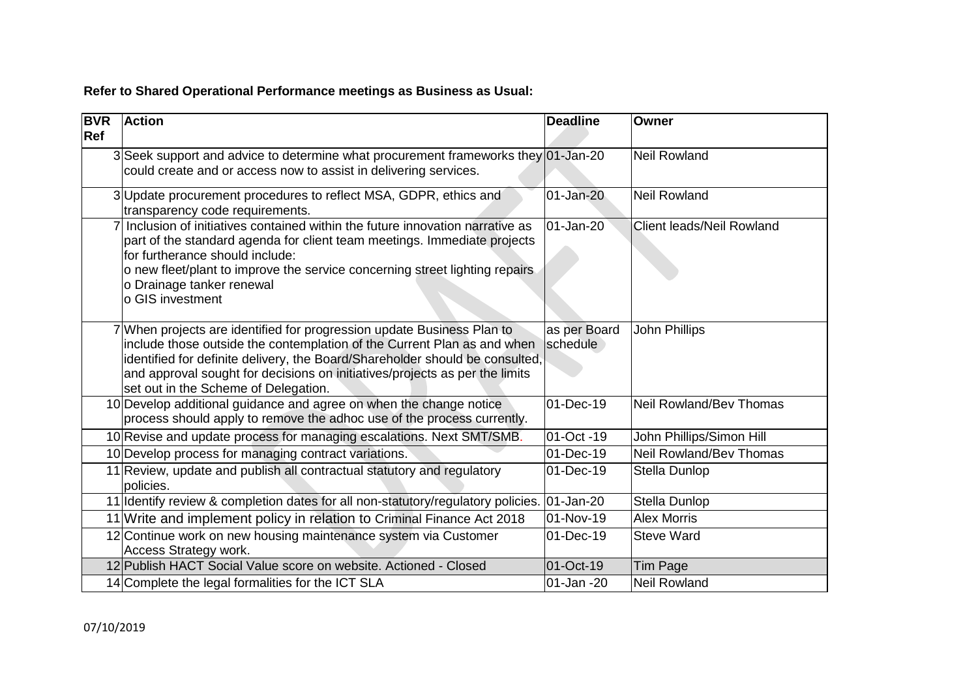## **Refer to Shared Operational Performance meetings as Business as Usual:**

| <b>BVR</b> | <b>Action</b>                                                                                                                                                                                                                                                                                                                                            | <b>Deadline</b>          | <b>Owner</b>                     |
|------------|----------------------------------------------------------------------------------------------------------------------------------------------------------------------------------------------------------------------------------------------------------------------------------------------------------------------------------------------------------|--------------------------|----------------------------------|
| Ref        |                                                                                                                                                                                                                                                                                                                                                          |                          |                                  |
|            | 3 Seek support and advice to determine what procurement frameworks they 01-Jan-20<br>could create and or access now to assist in delivering services.                                                                                                                                                                                                    |                          | <b>Neil Rowland</b>              |
|            | 3 Update procurement procedures to reflect MSA, GDPR, ethics and<br>transparency code requirements.                                                                                                                                                                                                                                                      | $01$ -Jan-20             | <b>Neil Rowland</b>              |
|            | Inclusion of initiatives contained within the future innovation narrative as<br>part of the standard agenda for client team meetings. Immediate projects<br>for furtherance should include:<br>o new fleet/plant to improve the service concerning street lighting repairs<br>o Drainage tanker renewal<br>o GIS investment                              | 01-Jan-20                | <b>Client leads/Neil Rowland</b> |
|            | 7 When projects are identified for progression update Business Plan to<br>include those outside the contemplation of the Current Plan as and when<br>identified for definite delivery, the Board/Shareholder should be consulted,<br>and approval sought for decisions on initiatives/projects as per the limits<br>set out in the Scheme of Delegation. | as per Board<br>schedule | <b>John Phillips</b>             |
|            | 10 Develop additional guidance and agree on when the change notice<br>process should apply to remove the adhoc use of the process currently.                                                                                                                                                                                                             | 01-Dec-19                | Neil Rowland/Bev Thomas          |
|            | 10 Revise and update process for managing escalations. Next SMT/SMB.                                                                                                                                                                                                                                                                                     | 01-Oct -19               | John Phillips/Simon Hill         |
|            | 10 Develop process for managing contract variations.                                                                                                                                                                                                                                                                                                     | 01-Dec-19                | Neil Rowland/Bev Thomas          |
|            | 11 Review, update and publish all contractual statutory and regulatory<br>policies.                                                                                                                                                                                                                                                                      | 01-Dec-19                | Stella Dunlop                    |
|            | 11 Identify review & completion dates for all non-statutory/regulatory policies. 01-Jan-20                                                                                                                                                                                                                                                               |                          | Stella Dunlop                    |
|            | 11 Write and implement policy in relation to Criminal Finance Act 2018                                                                                                                                                                                                                                                                                   | 01-Nov-19                | <b>Alex Morris</b>               |
|            | 12 Continue work on new housing maintenance system via Customer<br>Access Strategy work.                                                                                                                                                                                                                                                                 | 01-Dec-19                | <b>Steve Ward</b>                |
|            | 12 Publish HACT Social Value score on website. Actioned - Closed                                                                                                                                                                                                                                                                                         | 01-Oct-19                | <b>Tim Page</b>                  |
|            | 14 Complete the legal formalities for the ICT SLA                                                                                                                                                                                                                                                                                                        | 01-Jan -20               | <b>Neil Rowland</b>              |